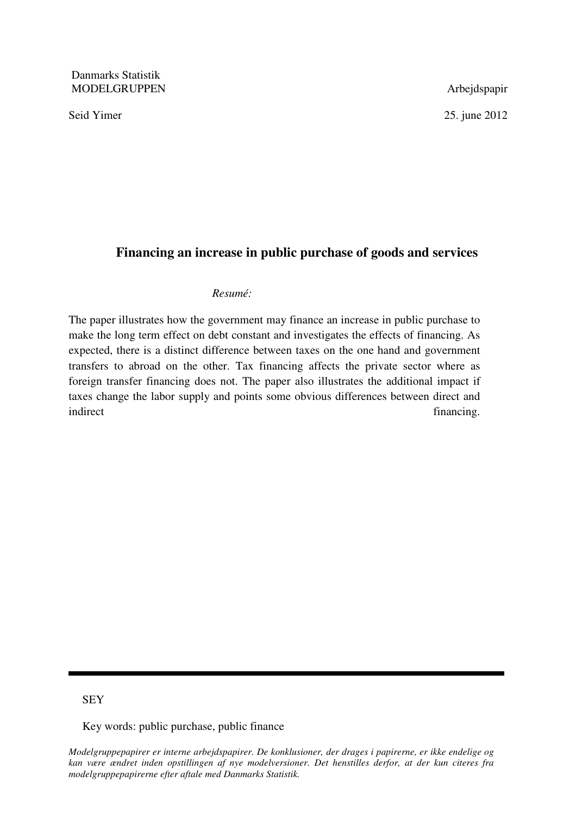Danmarks Statistik MODELGRUPPEN Arbejdspapir

Seid Yimer 2012

# **Financing an increase in public purchase of goods and services**

### *Resumé:*

The paper illustrates how the government may finance an increase in public purchase to make the long term effect on debt constant and investigates the effects of financing. As expected, there is a distinct difference between taxes on the one hand and government transfers to abroad on the other. Tax financing affects the private sector where as foreign transfer financing does not. The paper also illustrates the additional impact if taxes change the labor supply and points some obvious differences between direct and indirect financing.

# **SEY**

Key words: public purchase, public finance

*Modelgruppepapirer er interne arbejdspapirer. De konklusioner, der drages i papirerne, er ikke endelige og kan være ændret inden opstillingen af nye modelversioner. Det henstilles derfor, at der kun citeres fra modelgruppepapirerne efter aftale med Danmarks Statistik.*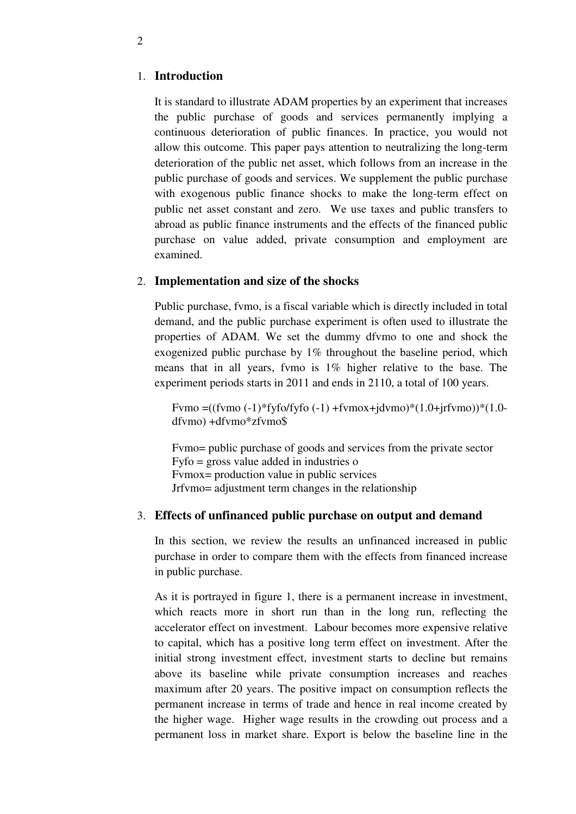#### 1. **Introduction**

It is standard to illustrate ADAM properties by an experiment that increases the public purchase of goods and services permanently implying a continuous deterioration of public finances. In practice, you would not allow this outcome. This paper pays attention to neutralizing the long-term deterioration of the public net asset, which follows from an increase in the public purchase of goods and services. We supplement the public purchase with exogenous public finance shocks to make the long-term effect on public net asset constant and zero. We use taxes and public transfers to abroad as public finance instruments and the effects of the financed public purchase on value added, private consumption and employment are examined.

### 2. **Implementation and size of the shocks**

Public purchase, fvmo, is a fiscal variable which is directly included in total demand, and the public purchase experiment is often used to illustrate the properties of ADAM. We set the dummy dfvmo to one and shock the exogenized public purchase by 1% throughout the baseline period, which means that in all years, fvmo is 1% higher relative to the base. The experiment periods starts in 2011 and ends in 2110, a total of 100 years.

Fymo  $=((fvmo (-1)*fvfofyfo (-1) +fvmox+i dvmo)*(1.0+ifvmo))*(1.0$ dfvmo) +dfvmo\*zfvmo\$

Fvmo= public purchase of goods and services from the private sector Fyfo = gross value added in industries o Fvmox= production value in public services Jrfvmo= adjustment term changes in the relationship

### 3. **Effects of unfinanced public purchase on output and demand**

In this section, we review the results an unfinanced increased in public purchase in order to compare them with the effects from financed increase in public purchase.

As it is portrayed in figure 1, there is a permanent increase in investment, which reacts more in short run than in the long run, reflecting the accelerator effect on investment. Labour becomes more expensive relative to capital, which has a positive long term effect on investment. After the initial strong investment effect, investment starts to decline but remains above its baseline while private consumption increases and reaches maximum after 20 years. The positive impact on consumption reflects the permanent increase in terms of trade and hence in real income created by the higher wage. Higher wage results in the crowding out process and a permanent loss in market share. Export is below the baseline line in the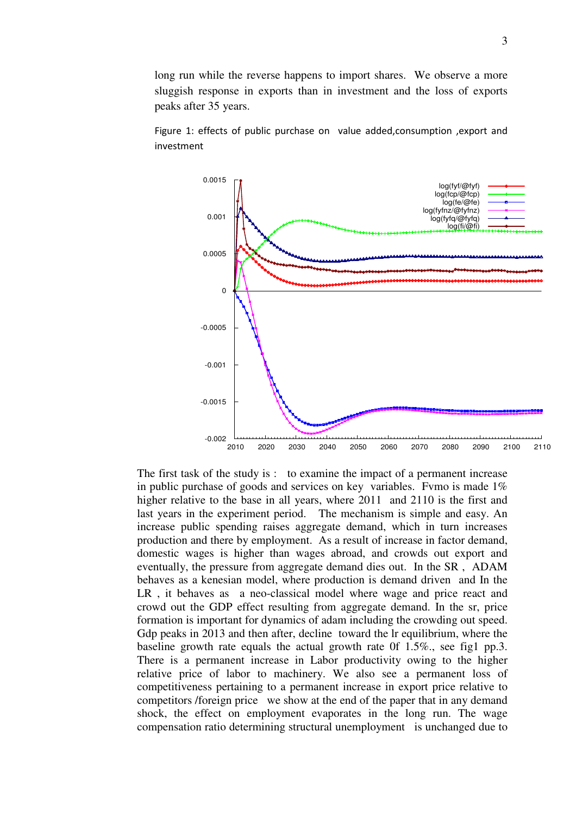long run while the reverse happens to import shares. We observe a more sluggish response in exports than in investment and the loss of exports peaks after 35 years.



Figure 1: effects of public purchase on value added,consumption ,export and investment

The first task of the study is : to examine the impact of a permanent increase in public purchase of goods and services on key variables. Fymo is made  $1\%$ higher relative to the base in all years, where 2011 and 2110 is the first and last years in the experiment period. The mechanism is simple and easy. An increase public spending raises aggregate demand, which in turn increases production and there by employment. As a result of increase in factor demand, domestic wages is higher than wages abroad, and crowds out export and eventually, the pressure from aggregate demand dies out. In the SR , ADAM behaves as a kenesian model, where production is demand driven and In the LR , it behaves as a neo-classical model where wage and price react and crowd out the GDP effect resulting from aggregate demand. In the sr, price formation is important for dynamics of adam including the crowding out speed. Gdp peaks in 2013 and then after, decline toward the lr equilibrium, where the baseline growth rate equals the actual growth rate 0f 1.5%., see fig1 pp.3. There is a permanent increase in Labor productivity owing to the higher relative price of labor to machinery. We also see a permanent loss of competitiveness pertaining to a permanent increase in export price relative to competitors /foreign price we show at the end of the paper that in any demand shock, the effect on employment evaporates in the long run. The wage compensation ratio determining structural unemployment is unchanged due to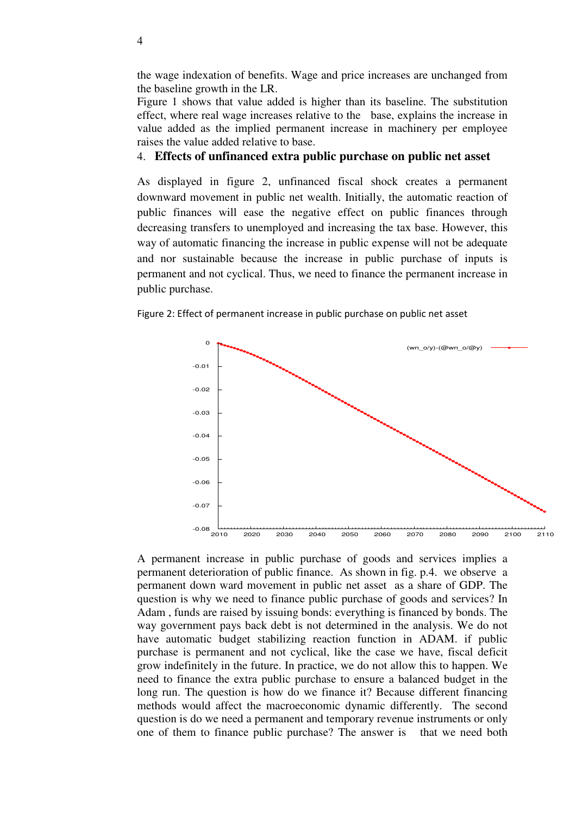the wage indexation of benefits. Wage and price increases are unchanged from the baseline growth in the LR.

Figure 1 shows that value added is higher than its baseline. The substitution effect, where real wage increases relative to the base, explains the increase in value added as the implied permanent increase in machinery per employee raises the value added relative to base.

# 4. **Effects of unfinanced extra public purchase on public net asset**

As displayed in figure 2, unfinanced fiscal shock creates a permanent downward movement in public net wealth. Initially, the automatic reaction of public finances will ease the negative effect on public finances through decreasing transfers to unemployed and increasing the tax base. However, this way of automatic financing the increase in public expense will not be adequate and nor sustainable because the increase in public purchase of inputs is permanent and not cyclical. Thus, we need to finance the permanent increase in public purchase.



Figure 2: Effect of permanent increase in public purchase on public net asset

A permanent increase in public purchase of goods and services implies a permanent deterioration of public finance. As shown in fig. p.4. we observe a permanent down ward movement in public net asset as a share of GDP. The question is why we need to finance public purchase of goods and services? In Adam , funds are raised by issuing bonds: everything is financed by bonds. The way government pays back debt is not determined in the analysis. We do not have automatic budget stabilizing reaction function in ADAM. if public purchase is permanent and not cyclical, like the case we have, fiscal deficit grow indefinitely in the future. In practice, we do not allow this to happen. We need to finance the extra public purchase to ensure a balanced budget in the long run. The question is how do we finance it? Because different financing methods would affect the macroeconomic dynamic differently. The second question is do we need a permanent and temporary revenue instruments or only one of them to finance public purchase? The answer is that we need both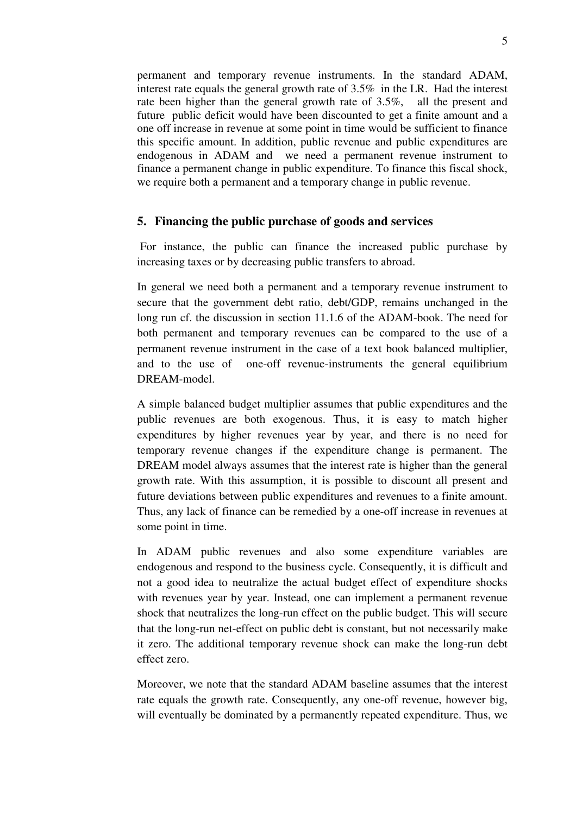permanent and temporary revenue instruments. In the standard ADAM, interest rate equals the general growth rate of 3.5% in the LR. Had the interest rate been higher than the general growth rate of 3.5%, all the present and future public deficit would have been discounted to get a finite amount and a one off increase in revenue at some point in time would be sufficient to finance this specific amount. In addition, public revenue and public expenditures are endogenous in ADAM and we need a permanent revenue instrument to finance a permanent change in public expenditure. To finance this fiscal shock, we require both a permanent and a temporary change in public revenue.

### **5. Financing the public purchase of goods and services**

 For instance, the public can finance the increased public purchase by increasing taxes or by decreasing public transfers to abroad.

In general we need both a permanent and a temporary revenue instrument to secure that the government debt ratio, debt/GDP, remains unchanged in the long run cf. the discussion in section 11.1.6 of the ADAM-book. The need for both permanent and temporary revenues can be compared to the use of a permanent revenue instrument in the case of a text book balanced multiplier, and to the use of one-off revenue-instruments the general equilibrium DREAM-model.

A simple balanced budget multiplier assumes that public expenditures and the public revenues are both exogenous. Thus, it is easy to match higher expenditures by higher revenues year by year, and there is no need for temporary revenue changes if the expenditure change is permanent. The DREAM model always assumes that the interest rate is higher than the general growth rate. With this assumption, it is possible to discount all present and future deviations between public expenditures and revenues to a finite amount. Thus, any lack of finance can be remedied by a one-off increase in revenues at some point in time.

In ADAM public revenues and also some expenditure variables are endogenous and respond to the business cycle. Consequently, it is difficult and not a good idea to neutralize the actual budget effect of expenditure shocks with revenues year by year. Instead, one can implement a permanent revenue shock that neutralizes the long-run effect on the public budget. This will secure that the long-run net-effect on public debt is constant, but not necessarily make it zero. The additional temporary revenue shock can make the long-run debt effect zero.

Moreover, we note that the standard ADAM baseline assumes that the interest rate equals the growth rate. Consequently, any one-off revenue, however big, will eventually be dominated by a permanently repeated expenditure. Thus, we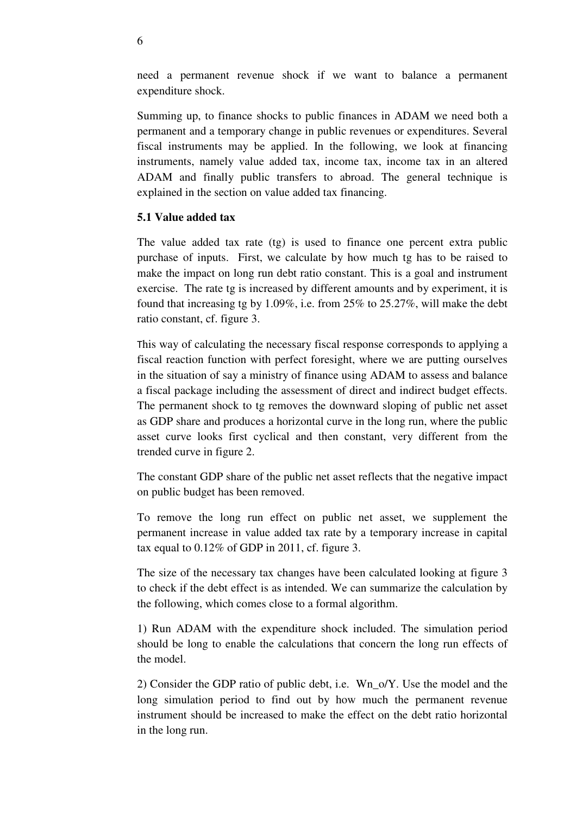need a permanent revenue shock if we want to balance a permanent expenditure shock.

Summing up, to finance shocks to public finances in ADAM we need both a permanent and a temporary change in public revenues or expenditures. Several fiscal instruments may be applied. In the following, we look at financing instruments, namely value added tax, income tax, income tax in an altered ADAM and finally public transfers to abroad. The general technique is explained in the section on value added tax financing.

# **5.1 Value added tax**

The value added tax rate (tg) is used to finance one percent extra public purchase of inputs. First, we calculate by how much tg has to be raised to make the impact on long run debt ratio constant. This is a goal and instrument exercise. The rate tg is increased by different amounts and by experiment, it is found that increasing tg by 1.09%, i.e. from 25% to 25.27%, will make the debt ratio constant, cf. figure 3.

This way of calculating the necessary fiscal response corresponds to applying a fiscal reaction function with perfect foresight, where we are putting ourselves in the situation of say a ministry of finance using ADAM to assess and balance a fiscal package including the assessment of direct and indirect budget effects. The permanent shock to tg removes the downward sloping of public net asset as GDP share and produces a horizontal curve in the long run, where the public asset curve looks first cyclical and then constant, very different from the trended curve in figure 2.

The constant GDP share of the public net asset reflects that the negative impact on public budget has been removed.

To remove the long run effect on public net asset, we supplement the permanent increase in value added tax rate by a temporary increase in capital tax equal to 0.12% of GDP in 2011, cf. figure 3.

The size of the necessary tax changes have been calculated looking at figure 3 to check if the debt effect is as intended. We can summarize the calculation by the following, which comes close to a formal algorithm.

1) Run ADAM with the expenditure shock included. The simulation period should be long to enable the calculations that concern the long run effects of the model.

2) Consider the GDP ratio of public debt, i.e. Wn\_o/Y. Use the model and the long simulation period to find out by how much the permanent revenue instrument should be increased to make the effect on the debt ratio horizontal in the long run.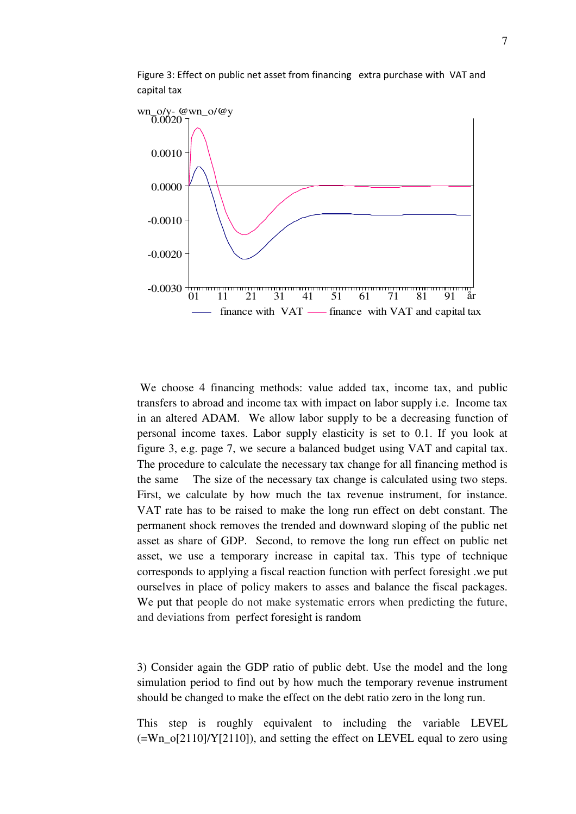

Figure 3: Effect on public net asset from financing extra purchase with VAT and capital tax

 We choose 4 financing methods: value added tax, income tax, and public transfers to abroad and income tax with impact on labor supply i.e. Income tax in an altered ADAM. We allow labor supply to be a decreasing function of personal income taxes. Labor supply elasticity is set to 0.1. If you look at figure 3, e.g. page 7, we secure a balanced budget using VAT and capital tax. The procedure to calculate the necessary tax change for all financing method is the same The size of the necessary tax change is calculated using two steps. First, we calculate by how much the tax revenue instrument, for instance. VAT rate has to be raised to make the long run effect on debt constant. The permanent shock removes the trended and downward sloping of the public net asset as share of GDP. Second, to remove the long run effect on public net asset, we use a temporary increase in capital tax. This type of technique corresponds to applying a fiscal reaction function with perfect foresight .we put ourselves in place of policy makers to asses and balance the fiscal packages. We put that people do not make systematic errors when predicting the future, and deviations from perfect foresight is random

3) Consider again the GDP ratio of public debt. Use the model and the long simulation period to find out by how much the temporary revenue instrument should be changed to make the effect on the debt ratio zero in the long run.

This step is roughly equivalent to including the variable LEVEL  $(=Wn_0[2110]/Y[2110])$ , and setting the effect on LEVEL equal to zero using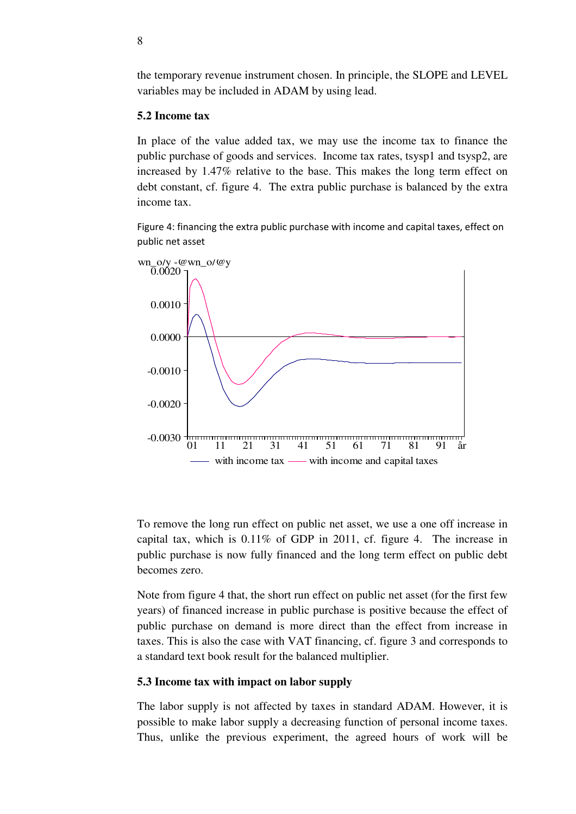the temporary revenue instrument chosen. In principle, the SLOPE and LEVEL variables may be included in ADAM by using lead.

#### **5.2 Income tax**

In place of the value added tax, we may use the income tax to finance the public purchase of goods and services. Income tax rates, tsysp1 and tsysp2, are increased by 1.47% relative to the base. This makes the long term effect on debt constant, cf. figure 4. The extra public purchase is balanced by the extra income tax.

Figure 4: financing the extra public purchase with income and capital taxes, effect on public net asset



To remove the long run effect on public net asset, we use a one off increase in capital tax, which is 0.11% of GDP in 2011, cf. figure 4. The increase in public purchase is now fully financed and the long term effect on public debt becomes zero.

Note from figure 4 that, the short run effect on public net asset (for the first few years) of financed increase in public purchase is positive because the effect of public purchase on demand is more direct than the effect from increase in taxes. This is also the case with VAT financing, cf. figure 3 and corresponds to a standard text book result for the balanced multiplier.

#### **5.3 Income tax with impact on labor supply**

The labor supply is not affected by taxes in standard ADAM. However, it is possible to make labor supply a decreasing function of personal income taxes. Thus, unlike the previous experiment, the agreed hours of work will be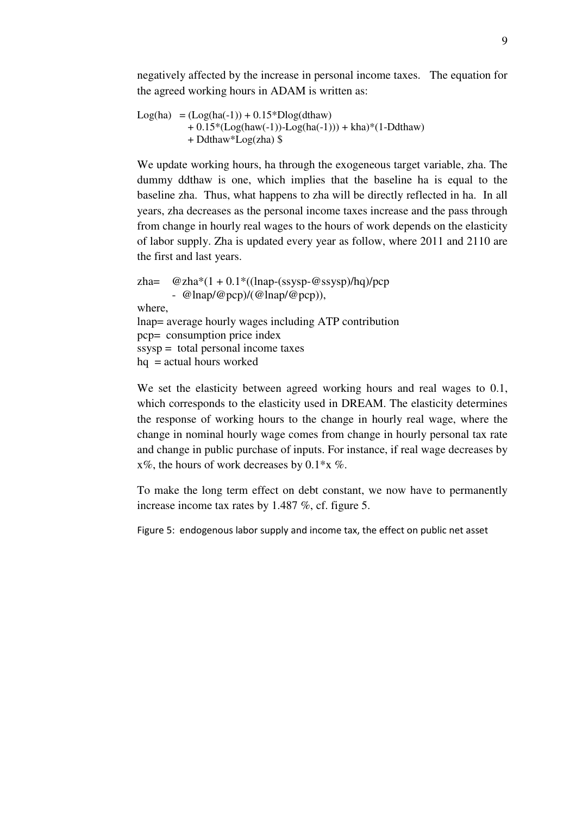negatively affected by the increase in personal income taxes. The equation for the agreed working hours in ADAM is written as:

```
Log(ha) = (Log(ha(-1)) + 0.15 * Dlog(dthaw))+ 0.15*(Log(haw(-1)) - Log(ha(-1))) + kha)*(1-Ddthaw) + Ddthaw*Log(zha) $
```
We update working hours, ha through the exogeneous target variable, zha. The dummy ddthaw is one, which implies that the baseline ha is equal to the baseline zha. Thus, what happens to zha will be directly reflected in ha. In all years, zha decreases as the personal income taxes increase and the pass through from change in hourly real wages to the hours of work depends on the elasticity of labor supply. Zha is updated every year as follow, where 2011 and 2110 are the first and last years.

zha=  $@zha*(1 + 0.1*((lnap-(ssysp-@ssysp)/hq)/pcp)$ -  $@$ lnap/ $@$ pcp)/( $@$ lnap/ $@$ pcp)), where, lnap= average hourly wages including ATP contribution pcp= consumption price index ssysp = total personal income taxes  $hq = actual hours$  worked

We set the elasticity between agreed working hours and real wages to 0.1, which corresponds to the elasticity used in DREAM. The elasticity determines the response of working hours to the change in hourly real wage, where the change in nominal hourly wage comes from change in hourly personal tax rate and change in public purchase of inputs. For instance, if real wage decreases by  $x\%$ , the hours of work decreases by 0.1<sup>\*</sup>x %.

To make the long term effect on debt constant, we now have to permanently increase income tax rates by 1.487 %, cf. figure 5.

Figure 5: endogenous labor supply and income tax, the effect on public net asset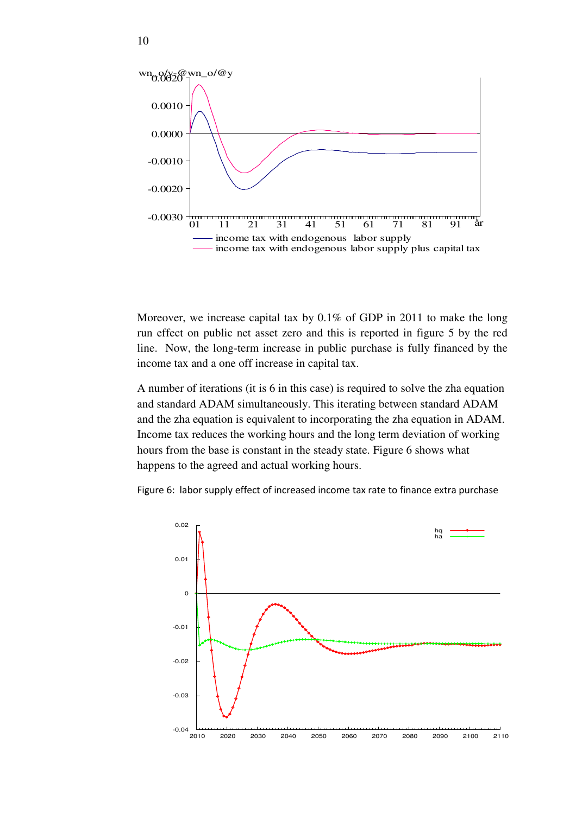

Moreover, we increase capital tax by 0.1% of GDP in 2011 to make the long run effect on public net asset zero and this is reported in figure 5 by the red line. Now, the long-term increase in public purchase is fully financed by the income tax and a one off increase in capital tax.

A number of iterations (it is 6 in this case) is required to solve the zha equation and standard ADAM simultaneously. This iterating between standard ADAM and the zha equation is equivalent to incorporating the zha equation in ADAM. Income tax reduces the working hours and the long term deviation of working hours from the base is constant in the steady state. Figure 6 shows what happens to the agreed and actual working hours.



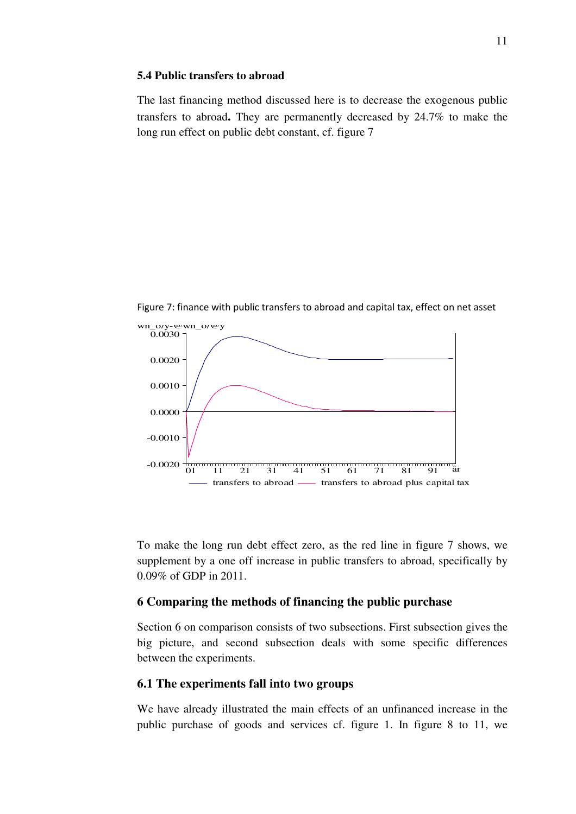#### **5.4 Public transfers to abroad**

The last financing method discussed here is to decrease the exogenous public transfers to abroad**.** They are permanently decreased by 24.7% to make the long run effect on public debt constant, cf. figure 7

- 0.0020 <del>أبين المستقدر المستقدر المستقدر المستقدر ال</del>عام 10−10 amin 11 − 21 − 31 − 41 − 51 − 61 − 71 − 81 − 91  $\overline{0.0030}$ 0.0020 0.0010 0.0000 -0.0010 wn\_o/y-@wn\_o/@y transfers to abroad  $-$  transfers to abroad plus capital tax

Figure 7: finance with public transfers to abroad and capital tax, effect on net asset

To make the long run debt effect zero, as the red line in figure 7 shows, we supplement by a one off increase in public transfers to abroad, specifically by 0.09% of GDP in 2011.

# **6 Comparing the methods of financing the public purchase**

Section 6 on comparison consists of two subsections. First subsection gives the big picture, and second subsection deals with some specific differences between the experiments.

# **6.1 The experiments fall into two groups**

We have already illustrated the main effects of an unfinanced increase in the public purchase of goods and services cf. figure 1. In figure 8 to 11, we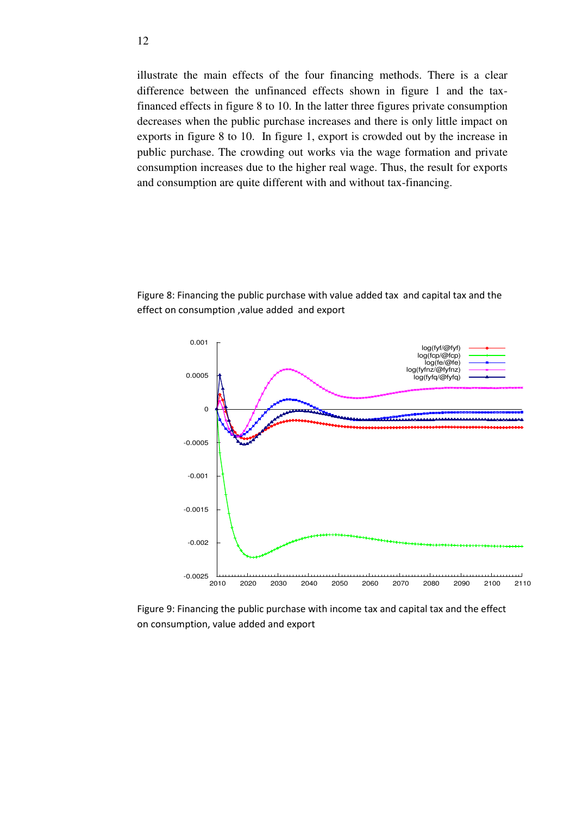illustrate the main effects of the four financing methods. There is a clear difference between the unfinanced effects shown in figure 1 and the taxfinanced effects in figure 8 to 10. In the latter three figures private consumption decreases when the public purchase increases and there is only little impact on exports in figure 8 to 10. In figure 1, export is crowded out by the increase in public purchase. The crowding out works via the wage formation and private consumption increases due to the higher real wage. Thus, the result for exports and consumption are quite different with and without tax-financing.

Figure 8: Financing the public purchase with value added tax and capital tax and the effect on consumption ,value added and export



Figure 9: Financing the public purchase with income tax and capital tax and the effect on consumption, value added and export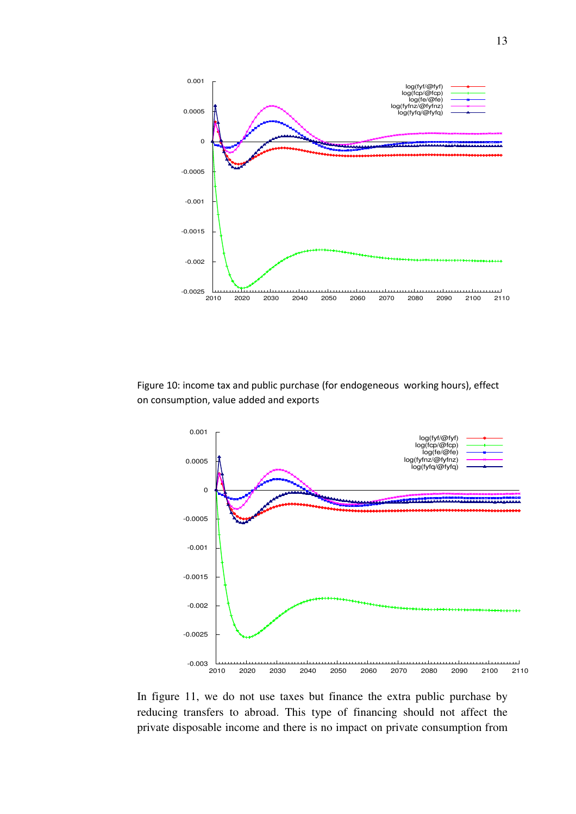

Figure 10: income tax and public purchase (for endogeneous working hours), effect on consumption, value added and exports



In figure 11, we do not use taxes but finance the extra public purchase by reducing transfers to abroad. This type of financing should not affect the private disposable income and there is no impact on private consumption from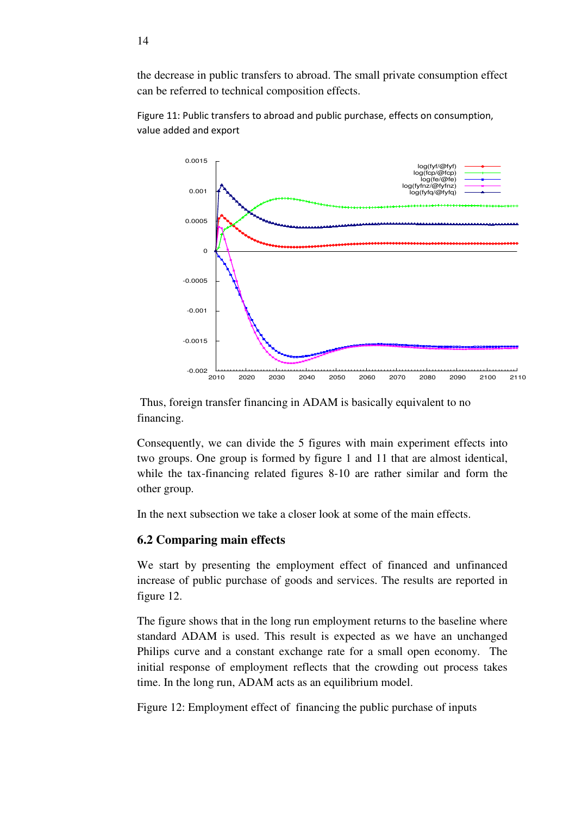the decrease in public transfers to abroad. The small private consumption effect can be referred to technical composition effects.



Figure 11: Public transfers to abroad and public purchase, effects on consumption, value added and export

 Thus, foreign transfer financing in ADAM is basically equivalent to no financing.

Consequently, we can divide the 5 figures with main experiment effects into two groups. One group is formed by figure 1 and 11 that are almost identical, while the tax-financing related figures 8-10 are rather similar and form the other group.

In the next subsection we take a closer look at some of the main effects.

### **6.2 Comparing main effects**

We start by presenting the employment effect of financed and unfinanced increase of public purchase of goods and services. The results are reported in figure 12.

The figure shows that in the long run employment returns to the baseline where standard ADAM is used. This result is expected as we have an unchanged Philips curve and a constant exchange rate for a small open economy. The initial response of employment reflects that the crowding out process takes time. In the long run, ADAM acts as an equilibrium model.

Figure 12: Employment effect of financing the public purchase of inputs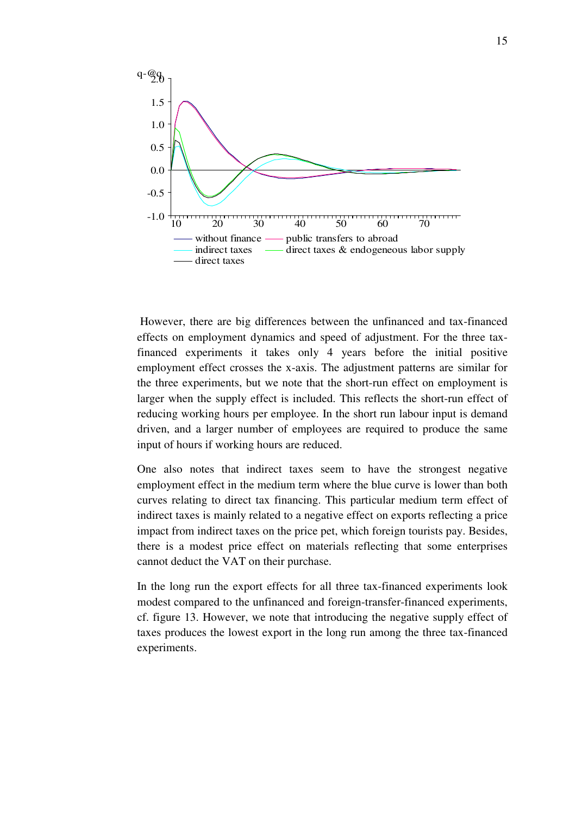

 However, there are big differences between the unfinanced and tax-financed effects on employment dynamics and speed of adjustment. For the three taxfinanced experiments it takes only 4 years before the initial positive employment effect crosses the x-axis. The adjustment patterns are similar for the three experiments, but we note that the short-run effect on employment is larger when the supply effect is included. This reflects the short-run effect of reducing working hours per employee. In the short run labour input is demand driven, and a larger number of employees are required to produce the same input of hours if working hours are reduced.

One also notes that indirect taxes seem to have the strongest negative employment effect in the medium term where the blue curve is lower than both curves relating to direct tax financing. This particular medium term effect of indirect taxes is mainly related to a negative effect on exports reflecting a price impact from indirect taxes on the price pet, which foreign tourists pay. Besides, there is a modest price effect on materials reflecting that some enterprises cannot deduct the VAT on their purchase.

In the long run the export effects for all three tax-financed experiments look modest compared to the unfinanced and foreign-transfer-financed experiments, cf. figure 13. However, we note that introducing the negative supply effect of taxes produces the lowest export in the long run among the three tax-financed experiments.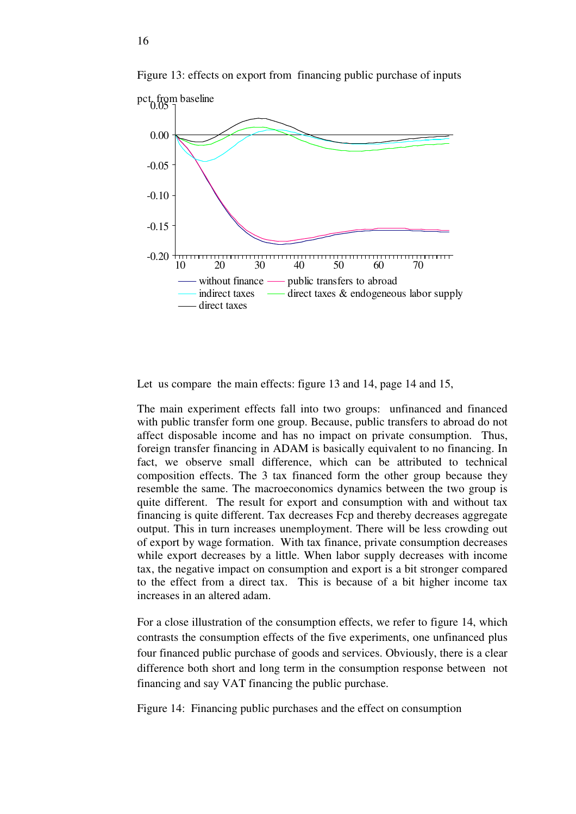

Figure 13: effects on export from financing public purchase of inputs

Let us compare the main effects: figure 13 and 14, page 14 and 15,

The main experiment effects fall into two groups: unfinanced and financed with public transfer form one group. Because, public transfers to abroad do not affect disposable income and has no impact on private consumption. Thus, foreign transfer financing in ADAM is basically equivalent to no financing. In fact, we observe small difference, which can be attributed to technical composition effects. The 3 tax financed form the other group because they resemble the same. The macroeconomics dynamics between the two group is quite different. The result for export and consumption with and without tax financing is quite different. Tax decreases Fcp and thereby decreases aggregate output. This in turn increases unemployment. There will be less crowding out of export by wage formation. With tax finance, private consumption decreases while export decreases by a little. When labor supply decreases with income tax, the negative impact on consumption and export is a bit stronger compared to the effect from a direct tax. This is because of a bit higher income tax increases in an altered adam.

For a close illustration of the consumption effects, we refer to figure 14, which contrasts the consumption effects of the five experiments, one unfinanced plus four financed public purchase of goods and services. Obviously, there is a clear difference both short and long term in the consumption response between not financing and say VAT financing the public purchase.

Figure 14: Financing public purchases and the effect on consumption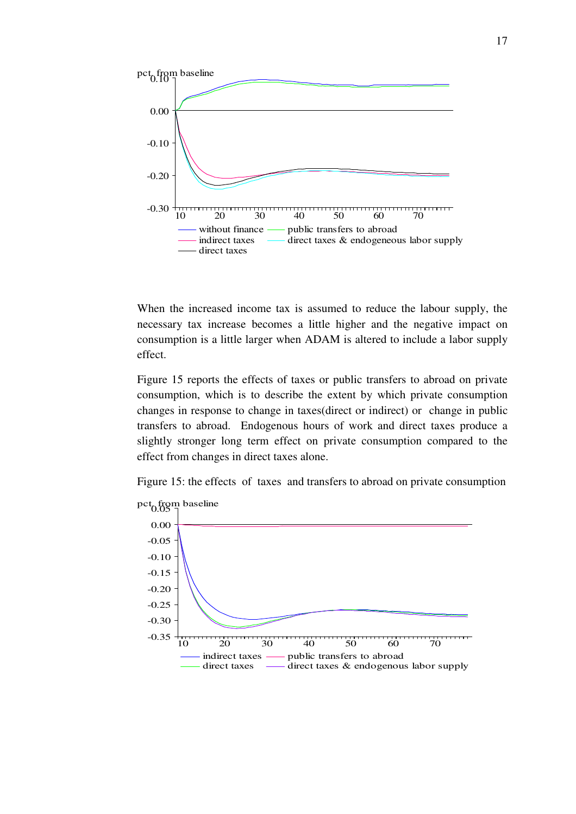

When the increased income tax is assumed to reduce the labour supply, the necessary tax increase becomes a little higher and the negative impact on consumption is a little larger when ADAM is altered to include a labor supply effect.

Figure 15 reports the effects of taxes or public transfers to abroad on private consumption, which is to describe the extent by which private consumption changes in response to change in taxes(direct or indirect) or change in public transfers to abroad. Endogenous hours of work and direct taxes produce a slightly stronger long term effect on private consumption compared to the effect from changes in direct taxes alone.

Figure 15: the effects of taxes and transfers to abroad on private consumption